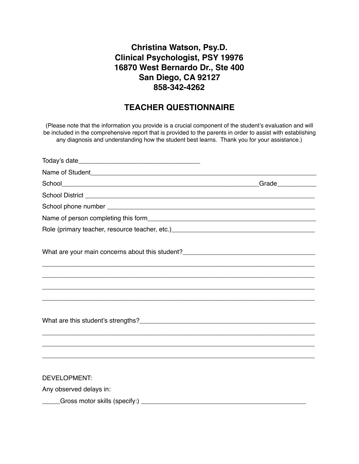## **Christina Watson, Psy.D. Clinical Psychologist, PSY 19976 16870 West Bernardo Dr., Ste 400 San Diego, CA 92127 858-342-4262**

## **TEACHER QUESTIONNAIRE**

(Please note that the information you provide is a crucial component of the student's evaluation and will be included in the comprehensive report that is provided to the parents in order to assist with establishing any diagnosis and understanding how the student best learns. Thank you for your assistance.)

| What are your main concerns about this student?_________________________________ |  |
|----------------------------------------------------------------------------------|--|
|                                                                                  |  |
|                                                                                  |  |
|                                                                                  |  |
|                                                                                  |  |
|                                                                                  |  |
| <b>DEVELOPMENT:</b>                                                              |  |
| Any observed delays in:                                                          |  |
| Gross motor skills (specify:) ____________                                       |  |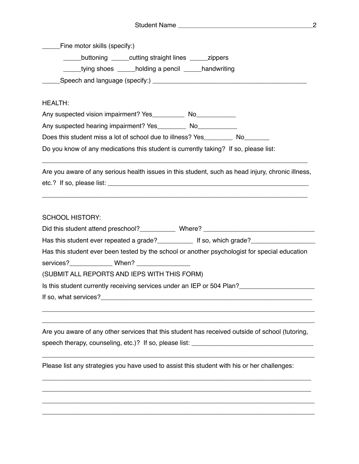|                | Fine motor skills (specify:) |                                                                                      |                                                                                                                                                                                                       |
|----------------|------------------------------|--------------------------------------------------------------------------------------|-------------------------------------------------------------------------------------------------------------------------------------------------------------------------------------------------------|
|                |                              | ______buttoning ______cutting straight lines _______ zippers                         |                                                                                                                                                                                                       |
|                |                              | _____tying shoes _____holding a pencil _____handwriting                              |                                                                                                                                                                                                       |
|                |                              |                                                                                      |                                                                                                                                                                                                       |
|                |                              |                                                                                      |                                                                                                                                                                                                       |
| <b>HEALTH:</b> |                              |                                                                                      |                                                                                                                                                                                                       |
|                |                              |                                                                                      |                                                                                                                                                                                                       |
|                |                              | Any suspected hearing impairment? Yes__________ No_____________                      |                                                                                                                                                                                                       |
|                |                              | Does this student miss a lot of school due to illness? Yes___________ No________     |                                                                                                                                                                                                       |
|                |                              | Do you know of any medications this student is currently taking? If so, please list: |                                                                                                                                                                                                       |
|                |                              |                                                                                      |                                                                                                                                                                                                       |
|                |                              |                                                                                      | Are you aware of any serious health issues in this student, such as head injury, chronic illness,                                                                                                     |
|                |                              |                                                                                      |                                                                                                                                                                                                       |
|                |                              |                                                                                      |                                                                                                                                                                                                       |
|                |                              |                                                                                      | Has this student ever repeated a grade?_______________ If so, which grade?__________________________<br>Has this student ever been tested by the school or another psychologist for special education |
|                |                              | services?_________________ When? _____________________                               |                                                                                                                                                                                                       |
|                |                              | (SUBMIT ALL REPORTS AND IEPS WITH THIS FORM)                                         |                                                                                                                                                                                                       |
|                |                              |                                                                                      | Is this student currently receiving services under an IEP or 504 Plan?                                                                                                                                |
|                |                              |                                                                                      |                                                                                                                                                                                                       |
|                |                              |                                                                                      |                                                                                                                                                                                                       |
|                |                              |                                                                                      | Are you aware of any other services that this student has received outside of school (tutoring,                                                                                                       |
|                |                              |                                                                                      |                                                                                                                                                                                                       |
|                |                              |                                                                                      |                                                                                                                                                                                                       |
|                |                              |                                                                                      | Please list any strategies you have used to assist this student with his or her challenges:                                                                                                           |
|                |                              |                                                                                      |                                                                                                                                                                                                       |
|                |                              |                                                                                      |                                                                                                                                                                                                       |
|                |                              |                                                                                      |                                                                                                                                                                                                       |
|                |                              |                                                                                      |                                                                                                                                                                                                       |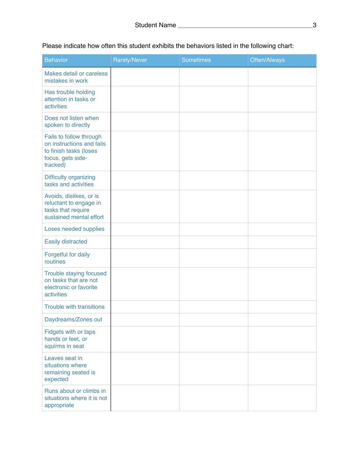Please indicate how often this student exhibits the behaviors listed in the following chart:

| <b>Behavior</b>                                                                                                 | <b>Rarely/Never</b> | <b>Sometimes</b> | Often/Always |
|-----------------------------------------------------------------------------------------------------------------|---------------------|------------------|--------------|
| Makes detail or careless<br>mistakes in work                                                                    |                     |                  |              |
| Has trouble holding<br>attention in tasks or<br>activities                                                      |                     |                  |              |
| Does not listen when<br>spoken to directly                                                                      |                     |                  |              |
| Fails to follow through<br>on instructions and fails<br>to finish tasks (loses<br>focus, gets side-<br>tracked) |                     |                  |              |
| Difficulty organizing<br>tasks and activities                                                                   |                     |                  |              |
| Avoids, dislikes, or is<br>reluctant to engage in<br>tasks that require<br>sustained mental effort              |                     |                  |              |
| Loses needed supplies                                                                                           |                     |                  |              |
| <b>Easily distracted</b>                                                                                        |                     |                  |              |
| Forgetful for daily<br>routines                                                                                 |                     |                  |              |
| Trouble staying focused<br>on tasks that are not<br>electronic or favorite<br>activities                        |                     |                  |              |
| <b>Trouble with transitions</b>                                                                                 |                     |                  |              |
| Daydreams/Zones out                                                                                             |                     |                  |              |
| Fidgets with or taps<br>hands or feet, or<br>squirms in seat                                                    |                     |                  |              |
| Leaves seat in<br>situations where<br>remaining seated is<br>expected                                           |                     |                  |              |
| Runs about or climbs in<br>situations where it is not<br>appropriate                                            |                     |                  |              |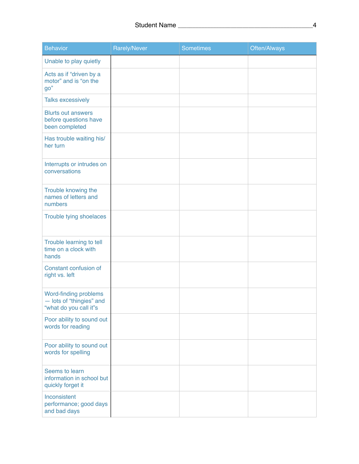| <b>Behavior</b>                                                             | Rarely/Never | <b>Sometimes</b> | Often/Always |
|-----------------------------------------------------------------------------|--------------|------------------|--------------|
| Unable to play quietly                                                      |              |                  |              |
| Acts as if "driven by a<br>motor" and is "on the<br>go"                     |              |                  |              |
| <b>Talks excessively</b>                                                    |              |                  |              |
| <b>Blurts out answers</b><br>before questions have<br>been completed        |              |                  |              |
| Has trouble waiting his/<br>her turn                                        |              |                  |              |
| Interrupts or intrudes on<br>conversations                                  |              |                  |              |
| Trouble knowing the<br>names of letters and<br>numbers                      |              |                  |              |
| Trouble tying shoelaces                                                     |              |                  |              |
| Trouble learning to tell<br>time on a clock with<br>hands                   |              |                  |              |
| Constant confusion of<br>right vs. left                                     |              |                  |              |
| Word-finding problems<br>- lots of "thingies" and<br>"what do you call it"s |              |                  |              |
| Poor ability to sound out<br>words for reading                              |              |                  |              |
| Poor ability to sound out<br>words for spelling                             |              |                  |              |
| Seems to learn<br>information in school but<br>quickly forget it            |              |                  |              |
| Inconsistent<br>performance; good days<br>and bad days                      |              |                  |              |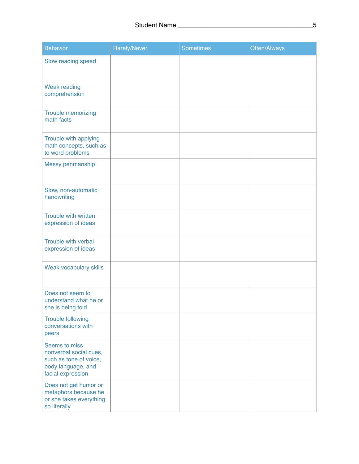| <b>Behavior</b>                                                                                              | Rarely/Never | <b>Sometimes</b> | Often/Always |
|--------------------------------------------------------------------------------------------------------------|--------------|------------------|--------------|
| Slow reading speed                                                                                           |              |                  |              |
| <b>Weak reading</b><br>comprehension                                                                         |              |                  |              |
| <b>Trouble memorizing</b><br>math facts                                                                      |              |                  |              |
| Trouble with applying<br>math concepts, such as<br>to word problems                                          |              |                  |              |
| Messy penmanship                                                                                             |              |                  |              |
| Slow, non-automatic<br>handwriting                                                                           |              |                  |              |
| Trouble with written<br>expression of ideas                                                                  |              |                  |              |
| Trouble with verbal<br>expression of ideas                                                                   |              |                  |              |
| Weak vocabulary skills                                                                                       |              |                  |              |
| Does not seem to<br>understand what he or<br>she is being told                                               |              |                  |              |
| <b>Trouble following</b><br>conversations with<br>peers                                                      |              |                  |              |
| Seems to miss<br>nonverbal social cues,<br>such as tone of voice,<br>body language, and<br>facial expression |              |                  |              |
| Does not get humor or<br>metaphors because he<br>or she takes everything<br>so literally                     |              |                  |              |